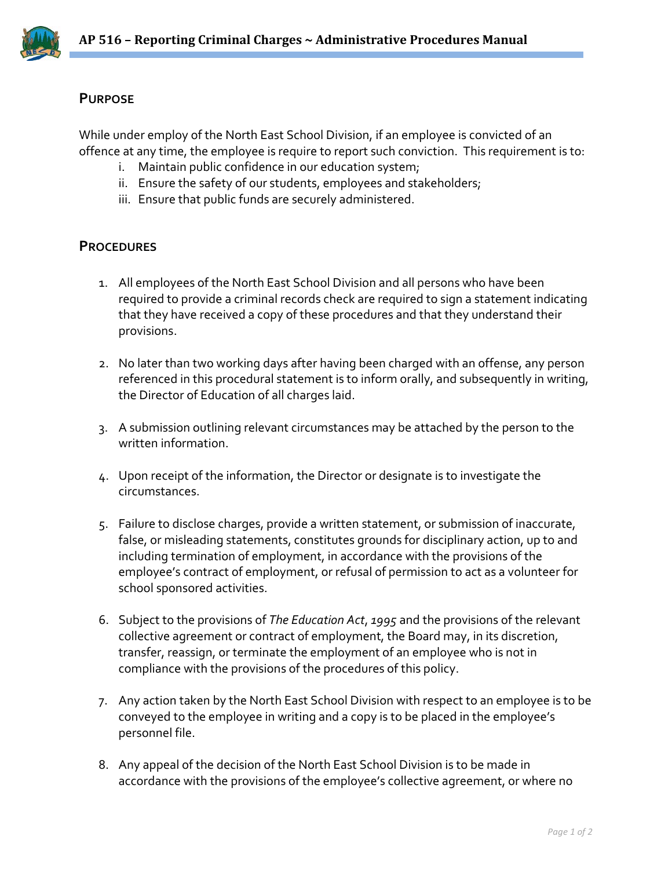## **PURPOSE**

While under employ of the North East School Division, if an employee is convicted of an offence at any time, the employee is require to report such conviction. This requirement is to:

- i. Maintain public confidence in our education system;
- ii. Ensure the safety of our students, employees and stakeholders;
- iii. Ensure that public funds are securely administered.

## **PROCEDURES**

- 1. All employees of the North East School Division and all persons who have been required to provide a criminal records check are required to sign a statement indicating that they have received a copy of these procedures and that they understand their provisions.
- 2. No later than two working days after having been charged with an offense, any person referenced in this procedural statement is to inform orally, and subsequently in writing, the Director of Education of all charges laid.
- 3. A submission outlining relevant circumstances may be attached by the person to the written information.
- 4. Upon receipt of the information, the Director or designate is to investigate the circumstances.
- 5. Failure to disclose charges, provide a written statement, or submission of inaccurate, false, or misleading statements, constitutes grounds for disciplinary action, up to and including termination of employment, in accordance with the provisions of the employee's contract of employment, or refusal of permission to act as a volunteer for school sponsored activities.
- 6. Subject to the provisions of *The Education Act*, *1995* and the provisions of the relevant collective agreement or contract of employment, the Board may, in its discretion, transfer, reassign, or terminate the employment of an employee who is not in compliance with the provisions of the procedures of this policy.
- 7. Any action taken by the North East School Division with respect to an employee is to be conveyed to the employee in writing and a copy is to be placed in the employee's personnel file.
- 8. Any appeal of the decision of the North East School Division is to be made in accordance with the provisions of the employee's collective agreement, or where no